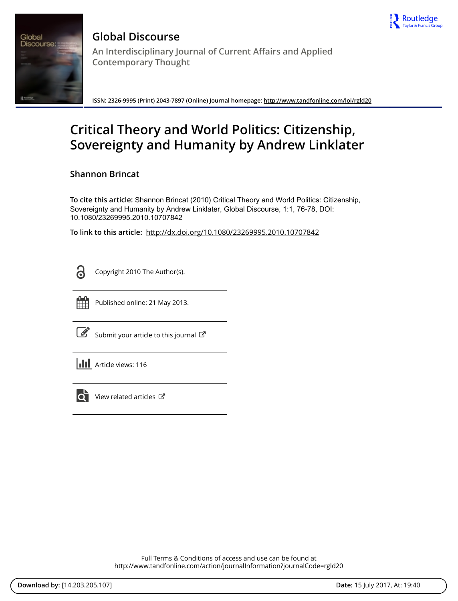



**Global Discourse An Interdisciplinary Journal of Current Affairs and Applied Contemporary Thought**

**ISSN: 2326-9995 (Print) 2043-7897 (Online) Journal homepage:<http://www.tandfonline.com/loi/rgld20>**

# **Critical Theory and World Politics: Citizenship, Sovereignty and Humanity by Andrew Linklater**

**Shannon Brincat**

**To cite this article:** Shannon Brincat (2010) Critical Theory and World Politics: Citizenship, Sovereignty and Humanity by Andrew Linklater, Global Discourse, 1:1, 76-78, DOI: [10.1080/23269995.2010.10707842](http://www.tandfonline.com/action/showCitFormats?doi=10.1080/23269995.2010.10707842)

**To link to this article:** <http://dx.doi.org/10.1080/23269995.2010.10707842>

Copyright 2010 The Author(s).



Published online: 21 May 2013.

[Submit your article to this journal](http://www.tandfonline.com/action/authorSubmission?journalCode=rgld20&show=instructions)  $\mathbb{Z}$ 





 $\overline{Q}$  [View related articles](http://www.tandfonline.com/doi/mlt/10.1080/23269995.2010.10707842)  $\overline{C}$ 

Full Terms & Conditions of access and use can be found at <http://www.tandfonline.com/action/journalInformation?journalCode=rgld20>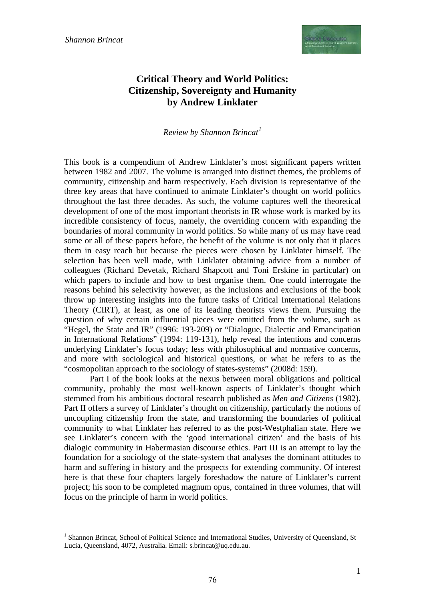

## **Critical Theory and World Politics: Citizenship, Sovereignty and Humanity by Andrew Linklater**

*Review by Shannon Brincat[1](#page-1-0)*

This book is a compendium of Andrew Linklater's most significant papers written between 1982 and 2007. The volume is arranged into distinct themes, the problems of community, citizenship and harm respectively. Each division is representative of the three key areas that have continued to animate Linklater's thought on world politics throughout the last three decades. As such, the volume captures well the theoretical development of one of the most important theorists in IR whose work is marked by its incredible consistency of focus, namely, the overriding concern with expanding the boundaries of moral community in world politics. So while many of us may have read some or all of these papers before, the benefit of the volume is not only that it places them in easy reach but because the pieces were chosen by Linklater himself. The selection has been well made, with Linklater obtaining advice from a number of colleagues (Richard Devetak, Richard Shapcott and Toni Erskine in particular) on which papers to include and how to best organise them. One could interrogate the reasons behind his selectivity however, as the inclusions and exclusions of the book throw up interesting insights into the future tasks of Critical International Relations Theory (CIRT), at least, as one of its leading theorists views them. Pursuing the question of why certain influential pieces were omitted from the volume, such as "Hegel, the State and IR" (1996: 193-209) or "Dialogue, Dialectic and Emancipation in International Relations" (1994: 119-131), help reveal the intentions and concerns underlying Linklater's focus today; less with philosophical and normative concerns, and more with sociological and historical questions, or what he refers to as the "cosmopolitan approach to the sociology of states-systems" (2008d: 159).

Part I of the book looks at the nexus between moral obligations and political community, probably the most well-known aspects of Linklater's thought which stemmed from his ambitious doctoral research published as *Men and Citizens* (1982). Part II offers a survey of Linklater's thought on citizenship, particularly the notions of uncoupling citizenship from the state, and transforming the boundaries of political community to what Linklater has referred to as the post-Westphalian state. Here we see Linklater's concern with the 'good international citizen' and the basis of his dialogic community in Habermasian discourse ethics. Part III is an attempt to lay the foundation for a sociology of the state-system that analyses the dominant attitudes to harm and suffering in history and the prospects for extending community. Of interest here is that these four chapters largely foreshadow the nature of Linklater's current project; his soon to be completed magnum opus, contained in three volumes, that will focus on the principle of harm in world politics.

<span id="page-1-0"></span> $\overline{a}$ <sup>1</sup> Shannon Brincat, School of Political Science and International Studies, University of Queensland, St Lucia, Queensland, 4072, Australia. Email: s.brincat@uq.edu.au.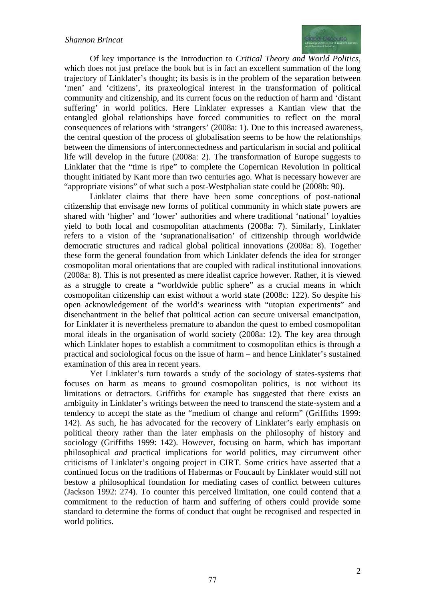### *Shannon Brincat*



Of key importance is the Introduction to *Critical Theory and World Politics*, which does not just preface the book but is in fact an excellent summation of the long trajectory of Linklater's thought; its basis is in the problem of the separation between 'men' and 'citizens', its praxeological interest in the transformation of political community and citizenship, and its current focus on the reduction of harm and 'distant suffering' in world politics. Here Linklater expresses a Kantian view that the entangled global relationships have forced communities to reflect on the moral consequences of relations with 'strangers' (2008a: 1). Due to this increased awareness, the central question of the process of globalisation seems to be how the relationships between the dimensions of interconnectedness and particularism in social and political life will develop in the future (2008a: 2). The transformation of Europe suggests to Linklater that the "time is ripe" to complete the Copernican Revolution in political thought initiated by Kant more than two centuries ago. What is necessary however are "appropriate visions" of what such a post-Westphalian state could be (2008b: 90).

Linklater claims that there have been some conceptions of post-national citizenship that envisage new forms of political community in which state powers are shared with 'higher' and 'lower' authorities and where traditional 'national' loyalties yield to both local and cosmopolitan attachments (2008a: 7). Similarly, Linklater refers to a vision of the 'supranationalisation' of citizenship through worldwide democratic structures and radical global political innovations (2008a: 8). Together these form the general foundation from which Linklater defends the idea for stronger cosmopolitan moral orientations that are coupled with radical institutional innovations (2008a: 8). This is not presented as mere idealist caprice however. Rather, it is viewed as a struggle to create a "worldwide public sphere" as a crucial means in which cosmopolitan citizenship can exist without a world state (2008c: 122). So despite his open acknowledgement of the world's weariness with "utopian experiments" and disenchantment in the belief that political action can secure universal emancipation, for Linklater it is nevertheless premature to abandon the quest to embed cosmopolitan moral ideals in the organisation of world society (2008a: 12). The key area through which Linklater hopes to establish a commitment to cosmopolitan ethics is through a practical and sociological focus on the issue of harm – and hence Linklater's sustained examination of this area in recent years.

Yet Linklater's turn towards a study of the sociology of states-systems that focuses on harm as means to ground cosmopolitan politics, is not without its limitations or detractors. Griffiths for example has suggested that there exists an ambiguity in Linklater's writings between the need to transcend the state-system and a tendency to accept the state as the "medium of change and reform" (Griffiths 1999: 142). As such, he has advocated for the recovery of Linklater's early emphasis on political theory rather than the later emphasis on the philosophy of history and sociology (Griffiths 1999: 142). However, focusing on harm, which has important philosophical *and* practical implications for world politics, may circumvent other criticisms of Linklater's ongoing project in CIRT. Some critics have asserted that a continued focus on the traditions of Habermas or Foucault by Linklater would still not bestow a philosophical foundation for mediating cases of conflict between cultures (Jackson 1992: 274). To counter this perceived limitation, one could contend that a commitment to the reduction of harm and suffering of others could provide some standard to determine the forms of conduct that ought be recognised and respected in world politics.